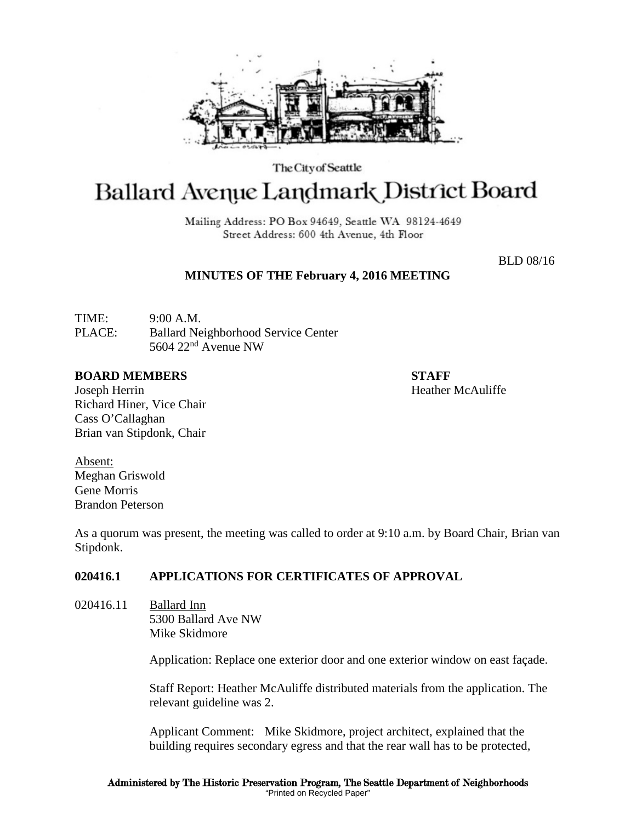

The City of Seattle

# Ballard Avenue Landmark District Board

Mailing Address: PO Box 94649, Seattle WA 98124-4649 Street Address: 600 4th Avenue, 4th Floor

BLD 08/16

### **MINUTES OF THE February 4, 2016 MEETING**

TIME: 9:00 A.M. PLACE: Ballard Neighborhood Service Center 5604  $22<sup>nd</sup>$  Avenue NW

#### **BOARD MEMBERS STAFF**

Joseph Herrin **Heather McAuliffe Heather McAuliffe** Richard Hiner, Vice Chair Cass O'Callaghan Brian van Stipdonk, Chair

Absent: Meghan Griswold Gene Morris Brandon Peterson

As a quorum was present, the meeting was called to order at 9:10 a.m. by Board Chair, Brian van Stipdonk.

## **020416.1 APPLICATIONS FOR CERTIFICATES OF APPROVAL**

020416.11 Ballard Inn 5300 Ballard Ave NW Mike Skidmore

Application: Replace one exterior door and one exterior window on east façade.

Staff Report: Heather McAuliffe distributed materials from the application. The relevant guideline was 2.

Applicant Comment: Mike Skidmore, project architect, explained that the building requires secondary egress and that the rear wall has to be protected,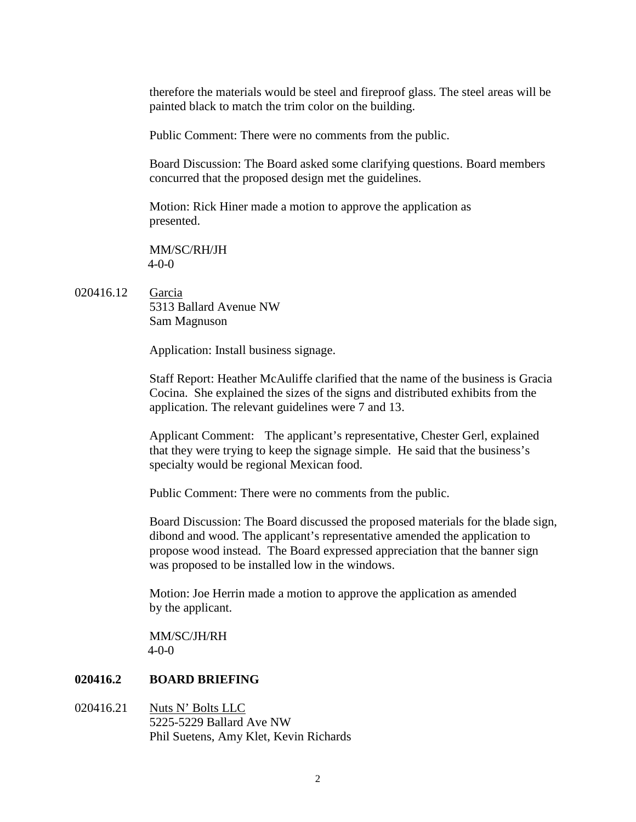therefore the materials would be steel and fireproof glass. The steel areas will be painted black to match the trim color on the building.

Public Comment: There were no comments from the public.

Board Discussion: The Board asked some clarifying questions. Board members concurred that the proposed design met the guidelines.

Motion: Rick Hiner made a motion to approve the application as presented.

MM/SC/RH/JH 4-0-0

020416.12 Garcia

5313 Ballard Avenue NW Sam Magnuson

Application: Install business signage.

Staff Report: Heather McAuliffe clarified that the name of the business is Gracia Cocina. She explained the sizes of the signs and distributed exhibits from the application. The relevant guidelines were 7 and 13.

Applicant Comment: The applicant's representative, Chester Gerl, explained that they were trying to keep the signage simple. He said that the business's specialty would be regional Mexican food.

Public Comment: There were no comments from the public.

Board Discussion: The Board discussed the proposed materials for the blade sign, dibond and wood. The applicant's representative amended the application to propose wood instead. The Board expressed appreciation that the banner sign was proposed to be installed low in the windows.

Motion: Joe Herrin made a motion to approve the application as amended by the applicant.

MM/SC/JH/RH 4-0-0

#### **020416.2 BOARD BRIEFING**

020416.21 Nuts N' Bolts LLC 5225-5229 Ballard Ave NW Phil Suetens, Amy Klet, Kevin Richards